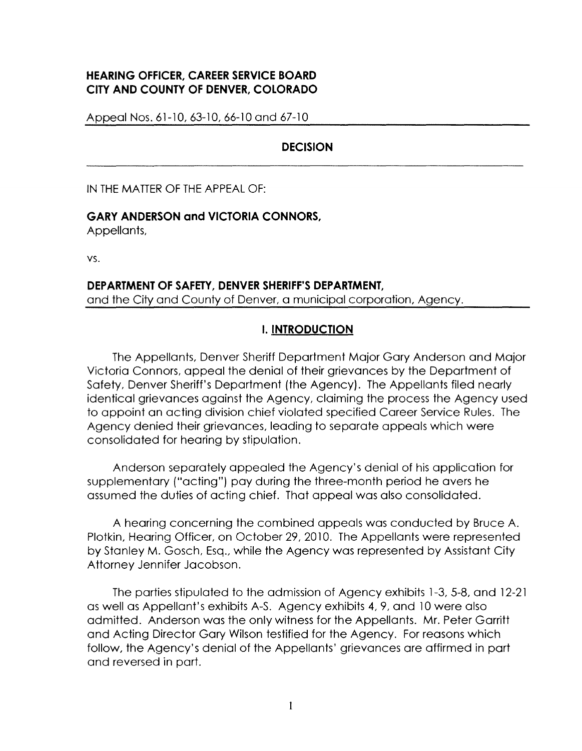# **HEARING OFFICER, CAREER SERVICE BOARD CITY AND COUNTY OF DENVER, COLORADO**

Appeal Nos. 61-10, 63-10, 66-10 and 67-10

## **DECISION**

IN THE MATTER OF THE APPEAL OF:

#### **GARY ANDERSON and VICTORIA CONNORS,**

Appellants,

vs.

#### **DEPARTMENT OF SAFETY, DENVER SHERIFF'S DEPARTMENT,**  and the City and County of Denver, a municipal corporation, Agency.

## I. **INTRODUCTION**

The Appellants, Denver Sheriff Department Major Gary Anderson and Major Victoria Connors, appeal the denial of their grievances by the Department of Safety, Denver Sheriff's Department (the Agency). The Appellants filed nearly identical grievances against the Agency, claiming the process the Agency used to appoint an acting division chief violated specified Career Service Rules. The Agency denied their grievances, leading to separate appeals which were consolidated for hearing by stipulation.

Anderson separately appealed the Agency's denial of his application for supplementary ("acting") pay during the three-month period he avers he assumed the duties of acting chief. That appeal was also consolidated.

A hearing concerning the combined appeals was conducted by Bruce A. Plotkin, Hearing Officer, on October 29, 2010. The Appellants were represented by Stanley M. Gosch, Esq., while the Agency was represented by Assistant City Attorney Jennifer Jacobson.

The parties stipulated to the admission of Agency exhibits 1-3, 5-8, and 12-21 as well as Appellant's exhibits A-S. Agency exhibits 4, 9, and 10 were also admitted. Anderson was the only witness for the Appellants. Mr. Peter Garritt and Acting Director Gary Wilson testified for the Agency. For reasons which follow, the Agency's denial of the Appellants' grievances are affirmed in part and reversed in part.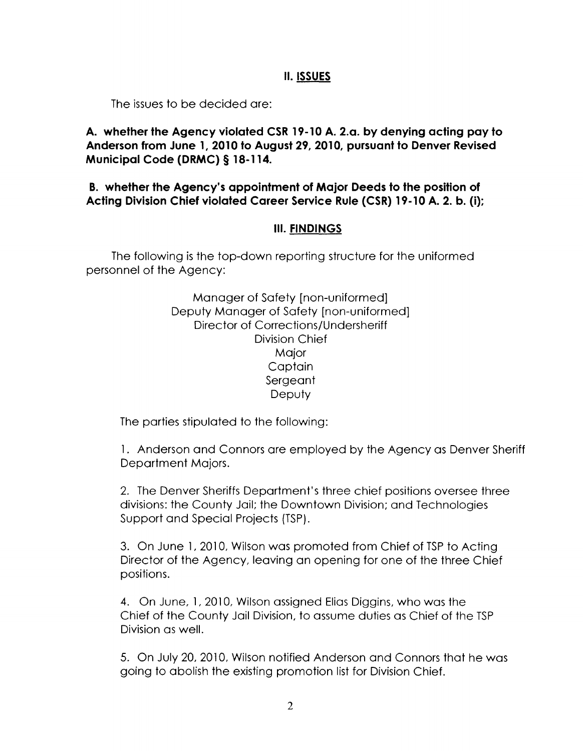## II. **ISSUES**

The issues to be decided are:

**A. whether the Agency violated CSR 19-10 A. 2.a. by denying acting pay to Anderson from June 1, 2010 to August 29, 2010, pursuant to Denver Revised Municipal Code (DRMC) § 18-114.** 

**B. whether the Agency's appointment of Major Deeds to the position of Acting Division Chief violated Career Service Rule (CSR) 19-10 A. 2. b. (i);** 

#### **Ill. FINDINGS**

The following is the top-down reporting structure for the uniformed personnel of the Agency:

> Manager of Safety [non-uniformed] Deputy Manager of Safety [non-uniformed] Director of Corrections/Undersheriff Division Chief Major **Captain** Sergeant **Deputy**

The parties stipulated to the following:

1. Anderson and Connors are employed by the Agency as Denver Sheriff Department Majors.

2. The Denver Sheriffs Department's three chief positions oversee three divisions: the County Jail; the Downtown Division; and Technologies Support and Special Projects (TSP).

3. On June 1, 2010, Wilson was promoted from Chief of TSP to Acting Director of the Agency, leaving an opening for one of the three Chief positions.

4. On June, 1, 2010, Wilson assigned Elias Diggins, who was the Chief of the County Jail Division, to assume duties as Chief of the TSP Division as well.

5. On July 20, 2010, Wilson notified Anderson and Connors that he was going to abolish the existing promotion list for Division Chief.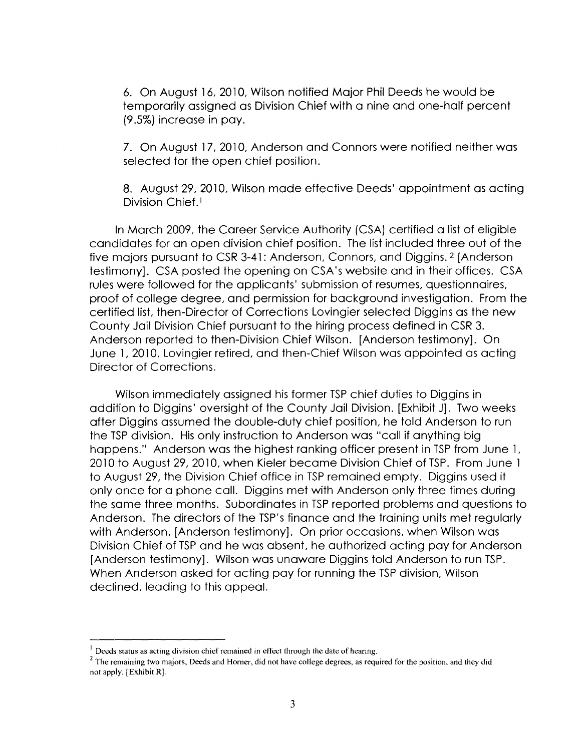6. On August 16, 2010, Wilson notified Major Phil Deeds he would be temporarily assigned as Division Chief with a nine and one-half percent (9.5%) increase in pay.

7. On August 17, 2010, Anderson and Connors were notified neither was selected for the open chief position.

8. August 29, 2010, Wilson made effective Deeds' appointment as acting Division Chief.<sup>1</sup>

In March 2009, the Career Service Authority (CSA) certified a list of eligible candidates for an open division chief position. The list included three out of the five majors pursuant to CSR 3-41: Anderson, Connors, and Diggins. 2 [Anderson testimony]. CSA posted the opening on CSA's website and in their offices. CSA rules were followed for the applicants' submission of resumes, questionnaires, proof of college degree, and permission for background investigation. From the certified list, then-Director of Corrections Lovingier selected Diggins as the new County Jail Division Chief pursuant to the hiring process defined in CSR 3. Anderson reported to then-Division Chief Wilson. [Anderson testimony]. On June 1, 2010, Lovingier retired, and then-Chief Wilson was appointed as acting Director of Corrections.

Wilson immediately assigned his former TSP chief duties to Diggins in addition to Diggins' oversight of the County Jail Division. [Exhibit J]. Two weeks after Diggins assumed the double-duty chief position, he told Anderson to run the TSP division. His only instruction to Anderson was "call if anything big happens." Anderson was the highest ranking officer present in TSP from June 1, 2010 to August 29, 2010, when Kieler became Division Chief of TSP. From June 1 to August 29, the Division Chief office in TSP remained empty. Diggins used it only once for a phone call. Diggins met with Anderson only three times during the same three months. Subordinates in TSP reported problems and questions to Anderson. The directors of the TSP's finance and the training units met regularly with Anderson. [Anderson testimony]. On prior occasions, when Wilson was Division Chief of TSP and he was absent, he authorized acting pay for Anderson [Anderson testimony]. Wilson was unaware Diggins told Anderson to run TSP. When Anderson asked for acting pay for running the TSP division, Wilson declined, leading to this appeal.

<sup>&</sup>lt;sup>1</sup> Deeds status as acting division chief remained in effect through the date of hearing.<br><sup>2</sup> The remaining two majors, Deeds and Horner, did not have college degrees, as required for the position, and they did not apply. [Exhibit R).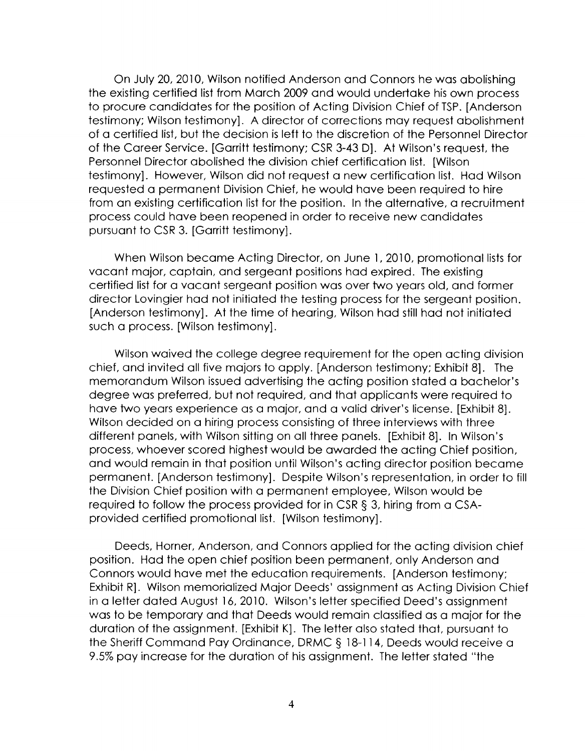On July 20, 2010, Wilson notified Anderson and Connors he was abolishing the existing certified list from March 2009 and would undertake his own process to procure candidates for the position of Acting Division Chief of TSP. [Anderson testimony; Wilson testimony]. A director of corrections may request abolishment of a certified list, but the decision is left to the discretion of the Personnel Director of the Career Service. [Garritt testimony; CSR 3-43 D]. At Wilson's request, the Personnel Director abolished the division chief certification list. [Wilson testimony]. However, Wilson did not request a new certification list. Had Wilson requested a permanent Division Chief, he would have been required to hire from an existing certification list for the position. In the alternative, a recruitment process could have been reopened in order to receive new candidates pursuant to CSR 3. [Garritt testimony].

When Wilson became Acting Director, on June 1, 2010, promotional lists for vacant major, captain, and sergeant positions had expired. The existing certified list for a vacant sergeant position was over two years old, and former director Lovingier had not initiated the testing process for the sergeant position. [Anderson testimony]. At the time of hearing, Wilson had still had not initiated such a process. [Wilson testimony].

Wilson waived the college degree requirement for the open acting division chief, and invited all five majors to apply. [Anderson testimony; Exhibit 8]. The memorandum Wilson issued advertising the acting position stated a bachelor's degree was preferred, but not required, and that applicants were required to have two years experience as a major, and a valid driver's license. [Exhibit 8]. Wilson decided on a hiring process consisting of three interviews with three different panels, with Wilson sitting on all three panels. [Exhibit 8]. In Wilson's process, whoever scored highest would be awarded the acting Chief position, and would remain in that position until Wilson's acting director position became permanent. [Anderson testimony]. Despite Wilson's representation, in order to fill the Division Chief position with a permanent employee, Wilson would be required to follow the process provided for in CSR § 3, hiring from a CSAprovided certified promotional list. [Wilson testimony].

Deeds, Horner, Anderson, and Connors applied for the acting division chief position. Had the open chief position been permanent, only Anderson and Connors would have met the education requirements. [Anderson testimony; Exhibit R]. Wilson memorialized Major Deeds' assignment as Acting Division Chief in a letter dated August 16, 2010. Wilson's letter specified Deed's assignment was to be temporary and that Deeds would remain classified as a major for the duration of the assignment. [Exhibit K]. The letter also stated that, pursuant to the Sheriff Command Pay Ordinance, DRMC § 18-114, Deeds would receive a 9.5% pay increase for the duration of his assignment. The letter stated "the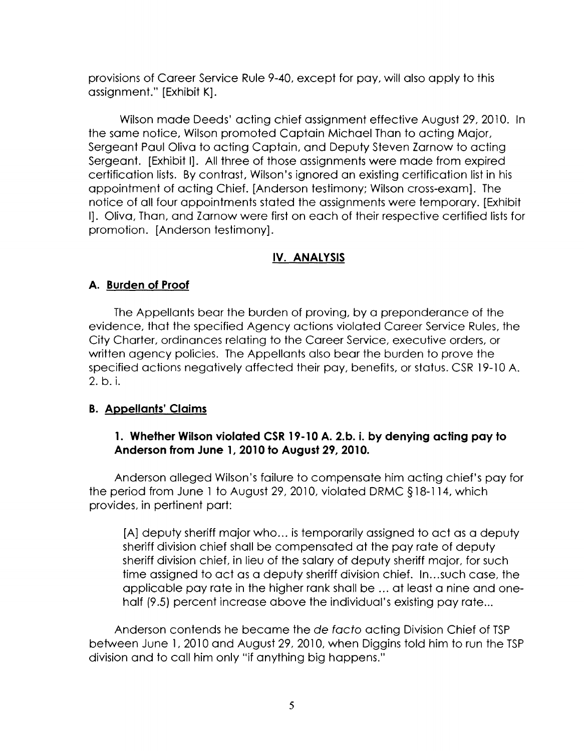provisions of Career Service Rule 9-40, except for pay, will also apply to this assignment." [Exhibit K].

Wilson made Deeds' acting chief assignment effective August 29, 2010. In the same notice, Wilson promoted Captain Michael Than to acting Major, Sergeant Paul Oliva to acting Captain, and Deputy Steven Zarnow to acting Sergeant. [Exhibit I]. All three of those assignments were made from expired certification lists. By contrast, Wilson's ignored an existing certification list in his appointment of acting Chief. [Anderson testimony; Wilson cross-exam]. The notice of all four appointments stated the assignments were temporary. [Exhibit I). Oliva, Than, and Zarnow were first on each of their respective certified lists for promotion. [Anderson testimony].

# **IV. ANALYSIS**

# **A. Burden of Proof**

The Appellants bear the burden of proving, by a preponderance of the evidence, that the specified Agency actions violated Career Service Rules, the City Charter, ordinances relating to the Career Service, executive orders, or written agency policies. The Appellants also bear the burden to prove the specified actions negatively affected their pay, benefits, or status. CSR 19-10 A. 2. b. i.

# **B. Appellants' Claims**

# **1. Whether Wilson violated CSR 19-10 A. 2.b. i. by denying acting pay to Anderson from June 1, 2010 to August 29, 2010.**

Anderson alleged Wilson's failure to compensate him acting chief's pay for the period from June 1 to August 29, 2010, violated DRMC § 18-114, which provides, in pertinent part:

[A] deputy sheriff major who... is temporarily assigned to act as a deputy sheriff division chief shall be compensated at the pay rate of deputy sheriff division chief, in lieu of the salary of deputy sheriff major, for such time assigned to act as a deputy sheriff division chief. In...such case, the applicable pay rate in the higher rank shall be ... at least a nine and onehalf (9.5) percent increase above the individual's existing pay rate ...

Anderson contends he became the de facto acting Division Chief of TSP between June 1, 2010 and August 29, 2010, when Diggins told him to run the TSP division and to call him only "if anything big happens."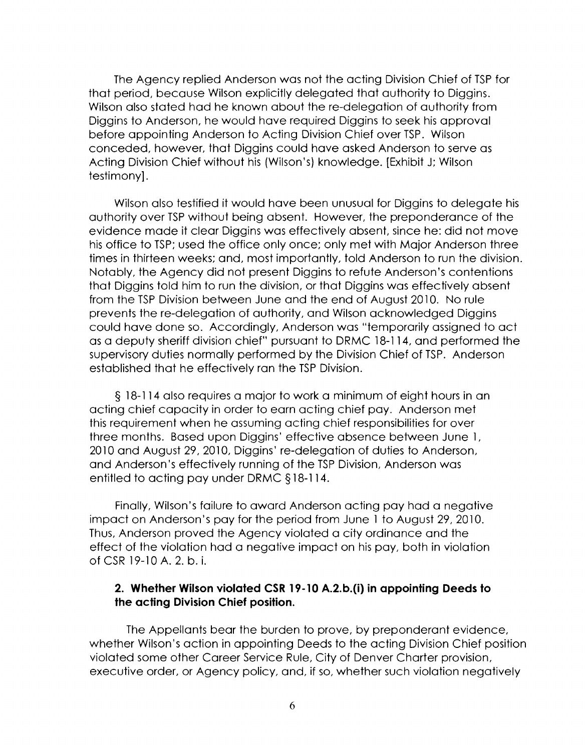The Agency replied Anderson was not the acting Division Chief of TSP for that period, because Wilson explicitly delegated that authority to Diggins. Wilson also stated had he known about the re-delegation of authority from Diggins to Anderson, he would have required Diggins to seek his approval before appointing Anderson to Acting Division Chief over TSP. Wilson conceded, however, that Diggins could have asked Anderson to serve as Acting Division Chief without his (Wilson's) knowledge. [Exhibit J; Wilson testimony].

Wilson also testified it would have been unusual for Diggins to delegate his authority over TSP without being absent. However, the preponderance of the evidence made it clear Diggins was effectively absent, since he: did not move his office to TSP; used the office only once; only met with Major Anderson three times in thirteen weeks; and, most importantly, told Anderson to run the division. Notably, the Agency did not present Diggins to refute Anderson's contentions that Diggins told him to run the division, or that Diggins was effectively absent from the TSP Division between June and the end of August 2010. No rule prevents the re-delegation of authority, and Wilson acknowledged Diggins could have done so. Accordingly, Anderson was "temporarily assigned to act as a deputy sheriff division chief" pursuant to DRMC 18-114, and performed the supervisory duties normally performed by the Division Chief of TSP. Anderson established that he effectively ran the TSP Division.

§ 18-114 also requires a major to work a minimum of eight hours in an acting chief capacity in order to earn acting chief pay. Anderson met this requirement when he assuming acting chief responsibilities for over three months. Based upon Diggins' effective absence between June 1, 2010 and August 29, 2010, Diggins' re-delegation of duties to Anderson, and Anderson's effectively running of the TSP Division, Anderson was entitled to acting pay under DRMC § 18-114.

Finally, Wilson's failure to award Anderson acting pay had a negative impact on Anderson's pay for the period from June 1 to August 29, 2010. Thus, Anderson proved the Agency violated a city ordinance and the effect of the violation had a negative impact on his pay, both in violation of CSR 19-10 A. 2. b. i.

#### **2. Whether Wilson violated CSR 19-10 A.2.b.(i) in appointing Deeds to the acting Division Chief position.**

The Appellants bear the burden to prove, by preponderant evidence, whether Wilson's action in appointing Deeds to the acting Division Chief position violated some other Career Service Rule, City of Denver Charter provision, executive order, or Agency policy, and, if so, whether such violation negatively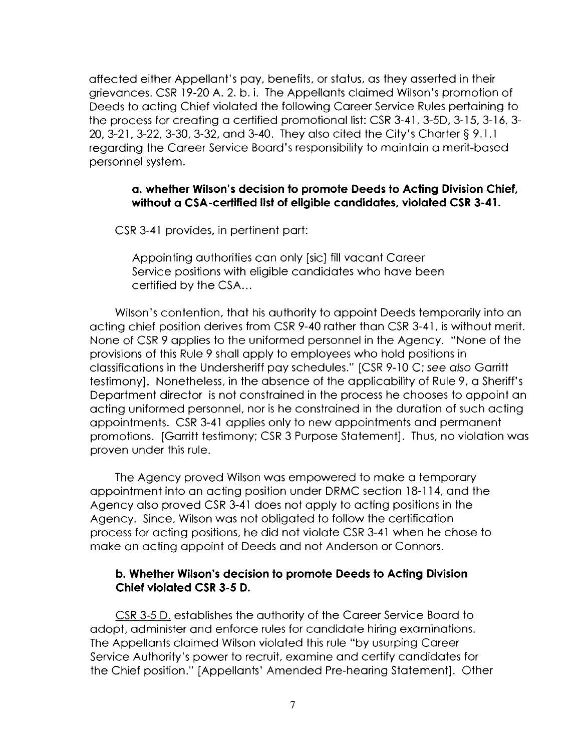affected either Appellant's pay, benefits, or status, as they asserted in their grievances. CSR 19-20 A. 2. b. i. The Appellants claimed Wilson's promotion of Deeds to acting Chief violated the following Career Service Rules pertaining to the process for creating a certified promotional list: CSR 3-41, 3-5D, 3-15, 3-16, 3- 20, 3-21, 3-22, 3-30, 3-32, and 3-40. They also cited the City's Charter§ 9.1.1 regarding the Career Service Board's responsibility to maintain a merit-based personnel system.

### **a. whether Wilson's decision to promote Deeds to Acting Division Chief, without a CSA-certified list of eligible candidates, violated CSR 3-41.**

CSR 3-41 provides, in pertinent part:

Appointing authorities can only [sic] fill vacant Career Service positions with eligible candidates who have been certified by the CSA...

Wilson's contention, that his authority to appoint Deeds temporarily into an acting chief position derives from CSR 9-40 rather than CSR 3-41, is without merit. None of CSR 9 applies to the uniformed personnel in the Agency. "None of the provisions of this Rule 9 shall apply to employees who hold positions in classifications in the Undersheriff pay schedules." [CSR 9-10 C; see also Garritt testimony]. Nonetheless, in the absence of the applicability of Rule 9, a Sheriff's Department director is not constrained in the process he chooses to appoint an acting uniformed personnel, nor is he constrained in the duration of such acting appointments. CSR 3-41 applies only to new appointments and permanent promotions. [Garritt testimony; CSR 3 Purpose Statement]. Thus, no violation was proven under this rule.

The Agency proved Wilson was empowered to make a temporary appointment into an acting position under DRMC section 18-114, and the Agency also proved CSR 3-41 does not apply to acting positions in the Agency. Since, Wilson was not obligated to follow the certification process for acting positions, he did not violate CSR 3-41 when he chose to make an acting appoint of Deeds and not Anderson or Connors.

## **b. Whether Wilson's decision to promote Deeds to Acting Division Chief violated CSR 3-5 D.**

CSR 3-5 D. establishes the authority of the Career Service Board to adopt, administer and enforce rules for candidate hiring examinations. The Appellants claimed Wilson violated this rule "by usurping Career Service Authority's power to recruit, examine and certify candidates for the Chief position." [Appellants' Amended Pre-hearing Statement]. Other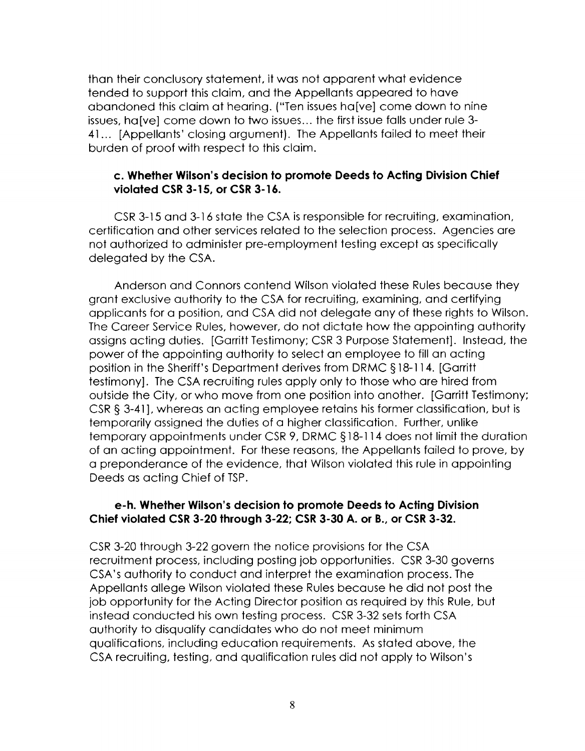than their conclusory statement, it was not apparent what evidence tended to support this claim, and the Appellants appeared to have abandoned this claim at hearing. ("Ten issues ha[ve] come down to nine issues, ha[ve] come down to two issues... the first issue falls under rule 3-41... [Appellants' closing argument]. The Appellants failed to meet their burden of proof with respect to this claim.

### **c. Whether Wilson's decision to promote Deeds to Acting Division Chief violated CSR 3-15, or CSR 3- 16.**

CSR 3-15 and 3-16 state the CSA is responsible for recruiting, examination, certification and other services related to the selection process. Agencies are not authorized to administer pre-employment testing except as specifically delegated by the CSA.

Anderson and Connors contend Wilson violated these Rules because they grant exclusive authority to the CSA for recruiting, examining, and certifying applicants for a position, and CSA did not delegate any of these rights to Wilson. The Career Service Rules, however, do not dictate how the appointing authority assigns acting duties. [Garritt Testimony; CSR 3 Purpose Statement]. Instead, the power of the appointing authority to select an employee to fill an acting position in the Sheriff's Department derives from DRMC § 18-114. [Garritt testimony]. The CSA recruiting rules apply only to those who are hired from outside the City, or who move from one position into another. [Garritt Testimony; CSR§ 3-41], whereas an acting employee retains his former classification, but is temporarily assigned the duties of a higher classification. Further, unlike temporary appointments under CSR 9, DRMC § 18-114 does not limit the duration of an acting appointment. For these reasons, the Appellants failed to prove, by a preponderance of the evidence, that Wilson violated this rule in appointing Deeds as acting Chief of TSP.

## **e-h. Whether Wilson's decision to promote Deeds to Acting Division Chief violated CSR 3-20 through 3-22; CSR 3-30 A. or B., or CSR 3-32.**

CSR 3-20 through 3-22 govern the notice provisions for the CSA recruitment process, including posting job opportunities. CSR 3-30 governs CSA's authority to conduct and interpret the examination process. The Appellants allege Wilson violated these Rules because he did not post the job opportunity for the Acting Director position as required by this Rule, but instead conducted his own testing process. CSR 3-32 sets forth CSA authority to disqualify candidates who do not meet minimum qualifications, including education requirements. As stated above, the CSA recruiting, testing, and qualification rules did not apply to Wilson's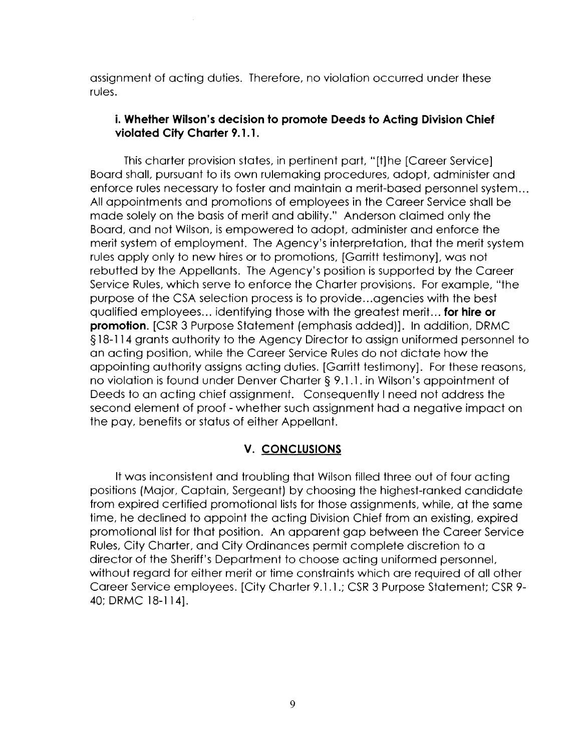assignment of acting duties. Therefore, no violation occurred under these rules.

# **i. Whether Wilson's decision to promote Deeds to Acting Division Chief violated City Charter 9. 1. 1.**

This charter provision states, in pertinent part, "[t] he [Career Service] Board shall, pursuant to its own rulemaking procedures, adopt, administer and enforce rules necessary to foster and maintain a merit-based personnel system ... All appointments and promotions of employees in the Career Service shall be made solely on the basis of merit and ability." Anderson claimed only the Board, and not Wilson, is empowered to adopt, administer and enforce the merit system of employment. The Agency's interpretation, that the merit system rules apply only to new hires or to promotions, [Garritt testimony], was not rebutted by the Appellants. The Agency's position is supported by the Career Service Rules, which serve to enforce the Charter provisions. For example, "the purpose of the CSA selection process is to provide ... agencies with the best qualified employees ... identifying those with the greatest merit ... **for hire or promotion.** [CSR 3 Purpose Statement (emphasis added)]. In addition, DRMC § 18-114 grants authority to the Agency Director to assign uniformed personnel to an acting position, while the Career Service Rules do not dictate how the appointing authority assigns acting duties. [Garritt testimony]. For these reasons, no violation is found under Denver Charter§ 9.1.1. in Wilson's appointment of Deeds to an acting chief assignment. Consequently I need not address the second element of proof - whether such assignment had a negative impact on the pay, benefits or status of either Appellant.

# **V. CONCLUSIONS**

It was inconsistent and troubling that Wilson filled three out of four acting positions (Major, Captain, Sergeant) by choosing the highest-ranked candidate from expired certified promotional lists for those assignments, while, at the same time, he declined to appoint the acting Division Chief from an existing, expired promotional list for that position. An apparent gap between the Career Service Rules, City Charter, and City Ordinances permit complete discretion to a director of the Sheriff's Department to choose acting uniformed personnel, without regard for either merit or time constraints which are required of all other Career Service employees. [City Charter 9.1.1.; CSR 3 Purpose Statement; CSR 9- 40; DRMC 18-114].